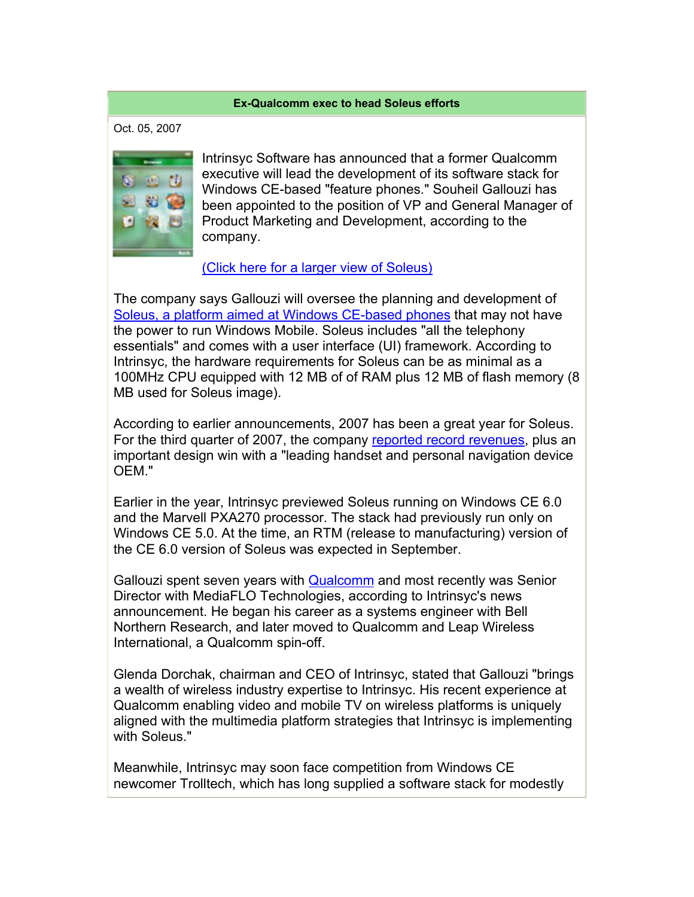## **Ex-Qualcomm exec to head Soleus efforts**

Oct. 05, 2007



Intrinsyc Software has announced that a former Qualcomm executive will lead the development of its software stack for Windows CE-based "feature phones." Souheil Gallouzi has been appointed to the position of VP and General Manager of Product Marketing and Development, according to the company.

## (Click here for a larger view of Soleus)

The company says Gallouzi will oversee the planning and development of Soleus, a platform aimed at Windows CE-based phones that may not have the power to run Windows Mobile. Soleus includes "all the telephony essentials" and comes with a user interface (UI) framework. According to Intrinsyc, the hardware requirements for Soleus can be as minimal as a 100MHz CPU equipped with 12 MB of of RAM plus 12 MB of flash memory (8 MB used for Soleus image).

According to earlier announcements, 2007 has been a great year for Soleus. For the third quarter of 2007, the company reported record revenues, plus an important design win with a "leading handset and personal navigation device OEM."

Earlier in the year, Intrinsyc previewed Soleus running on Windows CE 6.0 and the Marvell PXA270 processor. The stack had previously run only on Windows CE 5.0. At the time, an RTM (release to manufacturing) version of the CE 6.0 version of Soleus was expected in September.

Gallouzi spent seven years with Qualcomm and most recently was Senior Director with MediaFLO Technologies, according to Intrinsyc's news announcement. He began his career as a systems engineer with Bell Northern Research, and later moved to Qualcomm and Leap Wireless International, a Qualcomm spin-off.

Glenda Dorchak, chairman and CEO of Intrinsyc, stated that Gallouzi "brings a wealth of wireless industry expertise to Intrinsyc. His recent experience at Qualcomm enabling video and mobile TV on wireless platforms is uniquely aligned with the multimedia platform strategies that Intrinsyc is implementing with Soleus."

Meanwhile, Intrinsyc may soon face competition from Windows CE newcomer Trolltech, which has long supplied a software stack for modestly